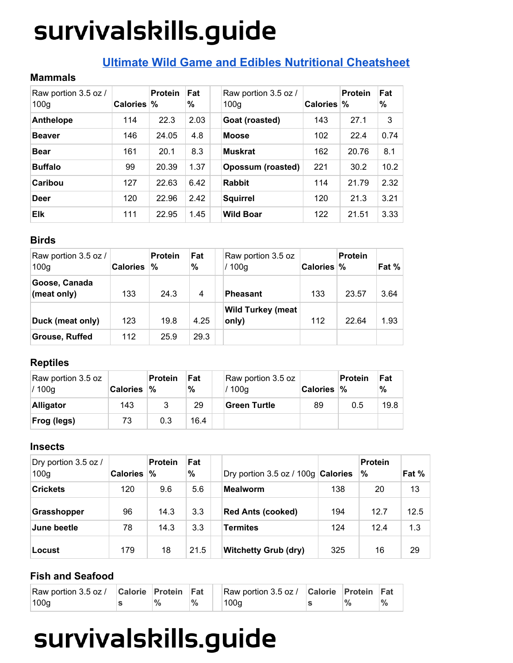### **Ultimate Wild Game and Edibles Nutritional [Cheatsheet](http://survivalskills.guide/nutritional-info-wild-game-edibles/)**

#### **Mammals**

| Raw portion 3.5 oz /<br>100 <sub>q</sub> | <b>Calories</b> | <b>Protein</b><br>℅ | Fat<br>% | Raw portion 3.5 oz /<br>100 <sub>g</sub> | <b>Calories</b> | <b>Protein</b><br>% | Fat<br>$\%$ |
|------------------------------------------|-----------------|---------------------|----------|------------------------------------------|-----------------|---------------------|-------------|
| <b>Anthelope</b>                         | 114             | 22.3                | 2.03     | Goat (roasted)                           | 143             | 27.1                | 3           |
| <b>Beaver</b>                            | 146             | 24.05               | 4.8      | <b>Moose</b>                             | 102             | 22.4                | 0.74        |
| <b>Bear</b>                              | 161             | 20.1                | 8.3      | <b>Muskrat</b>                           | 162             | 20.76               | 8.1         |
| <b>Buffalo</b>                           | 99              | 20.39               | 1.37     | <b>Opossum (roasted)</b>                 | 221             | 30.2                | 10.2        |
| Caribou                                  | 127             | 22.63               | 6.42     | <b>Rabbit</b>                            | 114             | 21.79               | 2.32        |
| <b>Deer</b>                              | 120             | 22.96               | 2.42     | <b>Squirrel</b>                          | 120             | 21.3                | 3.21        |
| <b>Elk</b>                               | 111             | 22.95               | 1.45     | <b>Wild Boar</b>                         | 122             | 21.51               | 3.33        |

### **Birds**

| Raw portion 3.5 oz /<br>100 <sub>g</sub> | <b>Calories</b> | <b>Protein</b><br>% | Fat<br>$\%$ | Raw portion 3.5 oz<br>/ 100g      | Calories % | <b>Protein</b> | Fat % |
|------------------------------------------|-----------------|---------------------|-------------|-----------------------------------|------------|----------------|-------|
| Goose, Canada<br>(meat only)             | 133             | 24.3                | 4           | Pheasant                          | 133        | 23.57          | 3.64  |
| Duck (meat only)                         | 123             | 19.8                | 4.25        | <b>Wild Turkey (meat</b><br>only) | 112        | 22.64          | 1.93  |
| <b>Grouse, Ruffed</b>                    | 112             | 25.9                | 29.3        |                                   |            |                |       |

### **Reptiles**

| Raw portion 3.5 oz<br>/100q | <b>Calories</b> | ∣Protein<br>°∕∘ | Fat<br>% | Raw portion 3.5 oz<br>/ 100g | <b>Calories</b> | Protein<br>% | Fat<br>$\%$ |
|-----------------------------|-----------------|-----------------|----------|------------------------------|-----------------|--------------|-------------|
| Alligator                   | 143             |                 | 29       | Green Turtle                 | 89              | 0.5          | 19.8        |
| <b>Frog (legs)</b>          | 73              | 0.3             | 16.4     |                              |                 |              |             |

#### **Insects**

| Dry portion 3.5 oz /<br>100 <sub>g</sub> | <b>Calories</b> | <b>Protein</b><br>% | Fat<br>$\%$ | Dry portion 3.5 oz / 100g $ $ Calories |     | <b>Protein</b><br>% | Fat % |
|------------------------------------------|-----------------|---------------------|-------------|----------------------------------------|-----|---------------------|-------|
| <b>Crickets</b>                          | 120             | 9.6                 | 5.6         | <b>Mealworm</b>                        | 138 | 20                  | 13    |
| Grasshopper                              | 96              | 14.3                | 3.3         | <b>Red Ants (cooked)</b>               | 194 | 12.7                | 12.5  |
| June beetle                              | 78              | 14.3                | 3.3         | <b>Termites</b>                        | 124 | 12.4                | 1.3   |
| <b>Locust</b>                            | 179             | 18                  | 21.5        | <b>Witchetty Grub (dry)</b>            | 325 | 16                  | 29    |

### **Fish and Seafood**

| Raw portion 3.5 oz / Calorie Protein Fat |      |               | Raw portion 3.5 oz / Calorie Protein Fat |  |               |
|------------------------------------------|------|---------------|------------------------------------------|--|---------------|
| 100 <sub>g</sub>                         | $\%$ | $\frac{1}{2}$ | 100q                                     |  | $\frac{9}{6}$ |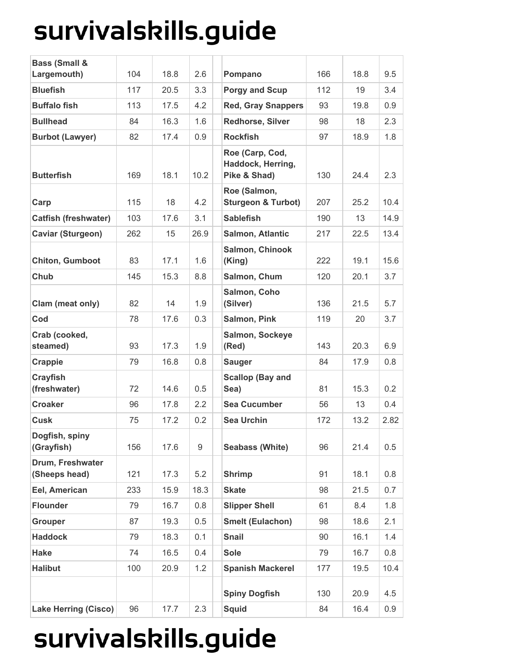| <b>Bass (Small &amp;</b>          |     |      |      |                                                      |     |      |      |
|-----------------------------------|-----|------|------|------------------------------------------------------|-----|------|------|
| Largemouth)                       | 104 | 18.8 | 2.6  | Pompano                                              | 166 | 18.8 | 9.5  |
| <b>Bluefish</b>                   | 117 | 20.5 | 3.3  | <b>Porgy and Scup</b>                                | 112 | 19   | 3.4  |
| <b>Buffalo fish</b>               | 113 | 17.5 | 4.2  | <b>Red, Gray Snappers</b>                            | 93  | 19.8 | 0.9  |
| <b>Bullhead</b>                   | 84  | 16.3 | 1.6  | Redhorse, Silver                                     | 98  | 18   | 2.3  |
| <b>Burbot (Lawyer)</b>            | 82  | 17.4 | 0.9  | <b>Rockfish</b>                                      | 97  | 18.9 | 1.8  |
| <b>Butterfish</b>                 | 169 | 18.1 | 10.2 | Roe (Carp, Cod,<br>Haddock, Herring,<br>Pike & Shad) | 130 | 24.4 | 2.3  |
| Carp                              | 115 | 18   | 4.2  | Roe (Salmon,<br><b>Sturgeon &amp; Turbot)</b>        | 207 | 25.2 | 10.4 |
| <b>Catfish (freshwater)</b>       | 103 | 17.6 | 3.1  | <b>Sablefish</b>                                     | 190 | 13   | 14.9 |
| <b>Caviar (Sturgeon)</b>          | 262 | 15   | 26.9 | Salmon, Atlantic                                     | 217 | 22.5 | 13.4 |
| <b>Chiton, Gumboot</b>            | 83  | 17.1 | 1.6  | Salmon, Chinook<br>(King)                            | 222 | 19.1 | 15.6 |
| Chub                              | 145 | 15.3 | 8.8  | Salmon, Chum                                         | 120 | 20.1 | 3.7  |
| Clam (meat only)                  | 82  | 14   | 1.9  | Salmon, Coho<br>(Silver)                             | 136 | 21.5 | 5.7  |
| Cod                               | 78  | 17.6 | 0.3  | Salmon, Pink                                         | 119 | 20   | 3.7  |
| Crab (cooked,<br>steamed)         | 93  | 17.3 | 1.9  | Salmon, Sockeye<br>(Red)                             | 143 | 20.3 | 6.9  |
| Crappie                           | 79  | 16.8 | 0.8  | <b>Sauger</b>                                        | 84  | 17.9 | 0.8  |
| <b>Crayfish</b><br>(freshwater)   | 72  | 14.6 | 0.5  | <b>Scallop (Bay and</b><br>Sea)                      | 81  | 15.3 | 0.2  |
| <b>Croaker</b>                    | 96  | 17.8 | 2.2  | <b>Sea Cucumber</b>                                  | 56  | 13   | 0.4  |
| <b>Cusk</b>                       | 75  | 17.2 | 0.2  | <b>Sea Urchin</b>                                    | 172 | 13.2 | 2.82 |
| Dogfish, spiny<br>(Grayfish)      | 156 | 17.6 | 9    | <b>Seabass (White)</b>                               | 96  | 21.4 | 0.5  |
| Drum, Freshwater<br>(Sheeps head) | 121 | 17.3 | 5.2  | <b>Shrimp</b>                                        | 91  | 18.1 | 0.8  |
| Eel, American                     | 233 | 15.9 | 18.3 | <b>Skate</b>                                         | 98  | 21.5 | 0.7  |
| <b>Flounder</b>                   | 79  | 16.7 | 0.8  | <b>Slipper Shell</b>                                 | 61  | 8.4  | 1.8  |
| <b>Grouper</b>                    | 87  | 19.3 | 0.5  | <b>Smelt (Eulachon)</b>                              | 98  | 18.6 | 2.1  |
| <b>Haddock</b>                    | 79  | 18.3 | 0.1  | <b>Snail</b>                                         | 90  | 16.1 | 1.4  |
| <b>Hake</b>                       | 74  | 16.5 | 0.4  | <b>Sole</b>                                          | 79  | 16.7 | 0.8  |
| <b>Halibut</b>                    | 100 | 20.9 | 1.2  | <b>Spanish Mackerel</b>                              | 177 | 19.5 | 10.4 |
|                                   |     |      |      | <b>Spiny Dogfish</b>                                 | 130 | 20.9 | 4.5  |
| <b>Lake Herring (Cisco)</b>       | 96  | 17.7 | 2.3  | <b>Squid</b>                                         | 84  | 16.4 | 0.9  |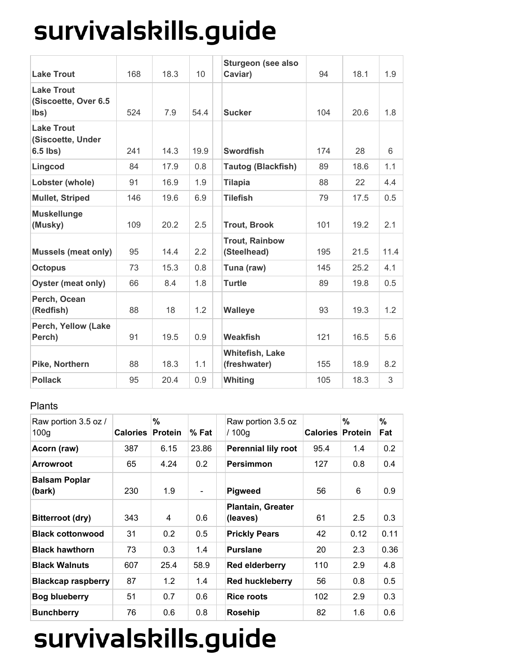| <b>Lake Trout</b>                                    | 168 | 18.3 | 10   | <b>Sturgeon (see also</b><br>Caviar)   | 94  | 18.1 | 1.9  |
|------------------------------------------------------|-----|------|------|----------------------------------------|-----|------|------|
| <b>Lake Trout</b><br>(Siscoette, Over 6.5<br>lbs)    | 524 | 7.9  | 54.4 | <b>Sucker</b>                          | 104 | 20.6 | 1.8  |
| <b>Lake Trout</b><br>(Siscoette, Under<br>$6.5$ lbs) | 241 | 14.3 | 19.9 | <b>Swordfish</b>                       | 174 | 28   | 6    |
| Lingcod                                              | 84  | 17.9 | 0.8  | <b>Tautog (Blackfish)</b>              | 89  | 18.6 | 1.1  |
| Lobster (whole)                                      | 91  | 16.9 | 1.9  | <b>Tilapia</b>                         | 88  | 22   | 4.4  |
| <b>Mullet, Striped</b>                               | 146 | 19.6 | 6.9  | <b>Tilefish</b>                        | 79  | 17.5 | 0.5  |
| <b>Muskellunge</b><br>(Musky)                        | 109 | 20.2 | 2.5  | <b>Trout, Brook</b>                    | 101 | 19.2 | 2.1  |
| <b>Mussels (meat only)</b>                           | 95  | 14.4 | 2.2  | <b>Trout, Rainbow</b><br>(Steelhead)   | 195 | 21.5 | 11.4 |
| <b>Octopus</b>                                       | 73  | 15.3 | 0.8  | Tuna (raw)                             | 145 | 25.2 | 4.1  |
| <b>Oyster (meat only)</b>                            | 66  | 8.4  | 1.8  | <b>Turtle</b>                          | 89  | 19.8 | 0.5  |
| Perch, Ocean<br>(Redfish)                            | 88  | 18   | 1.2  | <b>Walleye</b>                         | 93  | 19.3 | 1.2  |
| Perch, Yellow (Lake<br>Perch)                        | 91  | 19.5 | 0.9  | <b>Weakfish</b>                        | 121 | 16.5 | 5.6  |
| Pike, Northern                                       | 88  | 18.3 | 1.1  | <b>Whitefish, Lake</b><br>(freshwater) | 155 | 18.9 | 8.2  |
| <b>Pollack</b>                                       | 95  | 20.4 | 0.9  | <b>Whiting</b>                         | 105 | 18.3 | 3    |

#### Plants

| Raw portion 3.5 oz /<br>100 <sub>g</sub> | <b>Calories</b> | %<br><b>Protein</b> | $%$ Fat                  | Raw portion 3.5 oz<br>/100q          | Calories | %<br><b>Protein</b> | %<br>Fat |
|------------------------------------------|-----------------|---------------------|--------------------------|--------------------------------------|----------|---------------------|----------|
| Acorn (raw)                              | 387             | 6.15                | 23.86                    | <b>Perennial lily root</b>           | 95.4     | 1.4                 | 0.2      |
| <b>Arrowroot</b>                         | 65              | 4.24                | 0.2                      | <b>Persimmon</b>                     | 127      | 0.8                 | 0.4      |
| <b>Balsam Poplar</b><br>(bark)           | 230             | 1.9                 | $\overline{\phantom{a}}$ | <b>Pigweed</b>                       | 56       | 6                   | 0.9      |
| Bitterroot (dry)                         | 343             | 4                   | 0.6                      | <b>Plantain, Greater</b><br>(leaves) | 61       | 2.5                 | 0.3      |
| <b>Black cottonwood</b>                  | 31              | 0.2                 | 0.5                      | <b>Prickly Pears</b>                 | 42       | 0.12                | 0.11     |
| <b>Black hawthorn</b>                    | 73              | 0.3                 | 1.4                      | <b>Purslane</b>                      | 20       | 2.3                 | 0.36     |
| <b>Black Walnuts</b>                     | 607             | 25.4                | 58.9                     | Red elderberry                       | 110      | 2.9                 | 4.8      |
| <b>Blackcap raspberry</b>                | 87              | 1.2                 | 1.4                      | <b>Red huckleberry</b>               | 56       | 0.8                 | 0.5      |
| <b>Bog blueberry</b>                     | 51              | 0.7                 | 0.6                      | <b>Rice roots</b>                    | 102      | 2.9                 | 0.3      |
| <b>Bunchberry</b>                        | 76              | 0.6                 | 0.8                      | Rosehip                              | 82       | 1.6                 | 0.6      |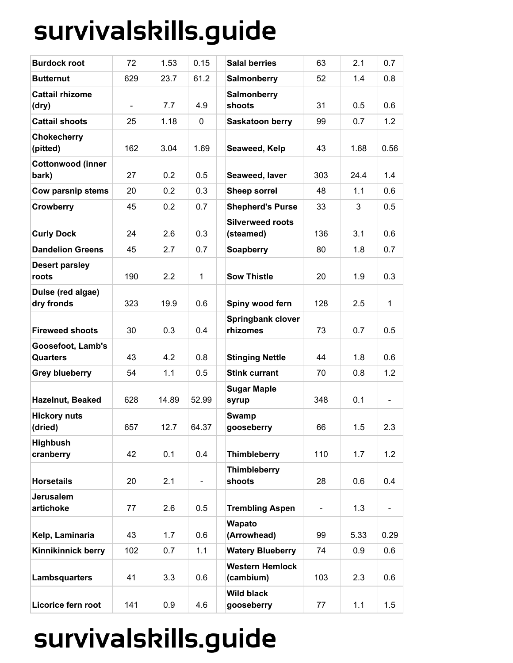| <b>Burdock root</b>                  | 72                       | 1.53  | 0.15           | <b>Salal berries</b>                 | 63            | 2.1  | 0.7            |
|--------------------------------------|--------------------------|-------|----------------|--------------------------------------|---------------|------|----------------|
| <b>Butternut</b>                     | 629                      | 23.7  | 61.2           | <b>Salmonberry</b>                   | 52            | 1.4  | 0.8            |
| <b>Cattail rhizome</b><br>(dry)      | $\overline{\phantom{a}}$ | 7.7   | 4.9            | <b>Salmonberry</b><br>shoots         | 31            | 0.5  | 0.6            |
| <b>Cattail shoots</b>                | 25                       | 1.18  | 0              | <b>Saskatoon berry</b>               | 99            | 0.7  | 1.2            |
| <b>Chokecherry</b><br>(pitted)       | 162                      | 3.04  | 1.69           | Seaweed, Kelp                        | 43            | 1.68 | 0.56           |
| <b>Cottonwood (inner</b><br>bark)    | 27                       | 0.2   | 0.5            | Seaweed, laver                       | 303           | 24.4 | 1.4            |
| Cow parsnip stems                    | 20                       | 0.2   | 0.3            | <b>Sheep sorrel</b>                  | 48            | 1.1  | 0.6            |
| <b>Crowberry</b>                     | 45                       | 0.2   | 0.7            | <b>Shepherd's Purse</b>              | 33            | 3    | 0.5            |
| <b>Curly Dock</b>                    | 24                       | 2.6   | 0.3            | <b>Silverweed roots</b><br>(steamed) | 136           | 3.1  | 0.6            |
| <b>Dandelion Greens</b>              | 45                       | 2.7   | 0.7            | Soapberry                            | 80            | 1.8  | 0.7            |
| <b>Desert parsley</b><br>roots       | 190                      | 2.2   | $\mathbf{1}$   | <b>Sow Thistle</b>                   | 20            | 1.9  | 0.3            |
| Dulse (red algae)<br>dry fronds      | 323                      | 19.9  | 0.6            | Spiny wood fern                      | 128           | 2.5  | $\mathbf{1}$   |
| <b>Fireweed shoots</b>               | 30                       | 0.3   | 0.4            | <b>Springbank clover</b><br>rhizomes | 73            | 0.7  | 0.5            |
| Goosefoot, Lamb's<br><b>Quarters</b> | 43                       | 4.2   | 0.8            | <b>Stinging Nettle</b>               | 44            | 1.8  | 0.6            |
| <b>Grey blueberry</b>                | 54                       | 1.1   | 0.5            | <b>Stink currant</b>                 | 70            | 0.8  | 1.2            |
| Hazelnut, Beaked                     | 628                      | 14.89 | 52.99          | <b>Sugar Maple</b><br>syrup          | 348           | 0.1  | $\blacksquare$ |
| <b>Hickory nuts</b><br>(dried)       | 657                      | 12.7  | 64.37          | Swamp<br>gooseberry                  | 66            | 1.5  | 2.3            |
| <b>Highbush</b><br>cranberry         | 42                       | 0.1   | 0.4            | <b>Thimbleberry</b>                  | 110           | 1.7  | 1.2            |
| <b>Horsetails</b>                    | 20                       | 2.1   | $\blacksquare$ | <b>Thimbleberry</b><br>shoots        | 28            | 0.6  | 0.4            |
| Jerusalem<br>artichoke               | 77                       | 2.6   | 0.5            | <b>Trembling Aspen</b>               | $\frac{1}{2}$ | 1.3  |                |
| Kelp, Laminaria                      | 43                       | 1.7   | 0.6            | Wapato<br>(Arrowhead)                | 99            | 5.33 | 0.29           |
| <b>Kinnikinnick berry</b>            | 102                      | 0.7   | 1.1            | <b>Watery Blueberry</b>              | 74            | 0.9  | 0.6            |
| Lambsquarters                        | 41                       | 3.3   | 0.6            | <b>Western Hemlock</b><br>(cambium)  | 103           | 2.3  | 0.6            |
| Licorice fern root                   | 141                      | 0.9   | 4.6            | <b>Wild black</b><br>gooseberry      | 77            | 1.1  | 1.5            |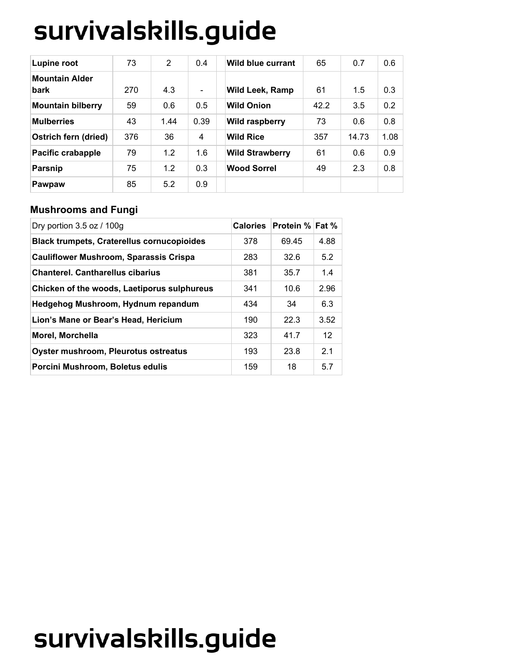| <b>Lupine root</b>            | 73  | $\overline{2}$ | 0.4                      | <b>Wild blue currant</b> | 65   | 0.7   | 0.6  |
|-------------------------------|-----|----------------|--------------------------|--------------------------|------|-------|------|
| <b>Mountain Alder</b><br>bark | 270 | 4.3            | $\overline{\phantom{a}}$ | <b>Wild Leek, Ramp</b>   | 61   | 1.5   | 0.3  |
| <b>Mountain bilberry</b>      | 59  | 0.6            | 0.5                      | <b>Wild Onion</b>        | 42.2 | 3.5   | 0.2  |
| <b>Mulberries</b>             | 43  | 1.44           | 0.39                     | Wild raspberry           | 73   | 0.6   | 0.8  |
| Ostrich fern (dried)          | 376 | 36             | 4                        | <b>Wild Rice</b>         | 357  | 14.73 | 1.08 |
| Pacific crabapple             | 79  | 1.2            | 1.6                      | <b>Wild Strawberry</b>   | 61   | 0.6   | 0.9  |
| <b>Parsnip</b>                | 75  | 1.2            | 0.3                      | <b>Wood Sorrel</b>       | 49   | 2.3   | 0.8  |
| Pawpaw                        | 85  | 5.2            | 0.9                      |                          |      |       |      |

### **Mushrooms and Fungi**

| Dry portion $3.5$ oz / 100g                       | <b>Calories</b> | <b>Protein % Fat %</b> |      |
|---------------------------------------------------|-----------------|------------------------|------|
| <b>Black trumpets, Craterellus cornucopioides</b> | 378             | 69.45                  | 4.88 |
| <b>Cauliflower Mushroom, Sparassis Crispa</b>     | 283             | 32.6                   | 5.2  |
| <b>Chanterel. Cantharellus cibarius</b>           | 381             | 35.7                   | 1.4  |
| Chicken of the woods, Laetiporus sulphureus       | 341             | 10.6                   | 2.96 |
| Hedgehog Mushroom, Hydnum repandum                | 434             | 34                     | 6.3  |
| Lion's Mane or Bear's Head, Hericium              | 190             | 22.3                   | 3.52 |
| Morel, Morchella                                  | 323             | 41.7                   | 12   |
| Oyster mushroom, Pleurotus ostreatus              | 193             | 23.8                   | 2.1  |
| Porcini Mushroom, Boletus edulis                  | 159             | 18                     | 5.7  |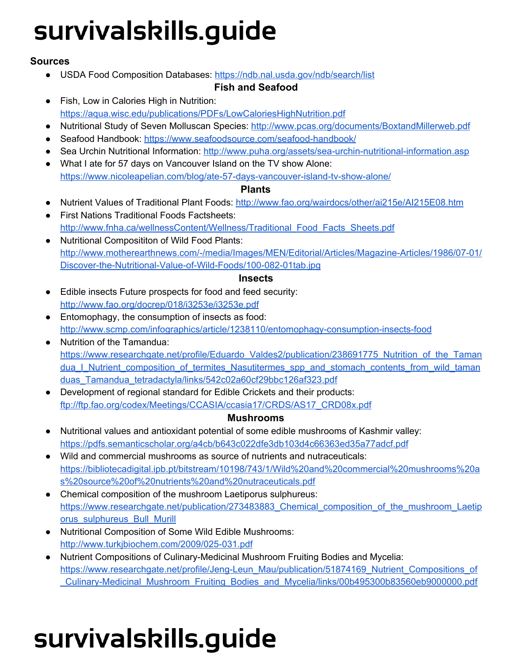### **Sources**

● USDA Food Composition Databases: <https://ndb.nal.usda.gov/ndb/search/list>

### **Fish and Seafood**

- Fish, Low in Calories High in Nutrition: <https://aqua.wisc.edu/publications/PDFs/LowCaloriesHighNutrition.pdf>
- Nutritional Study of Seven Molluscan Species: <http://www.pcas.org/documents/BoxtandMillerweb.pdf>
- Seafood Handbook: <https://www.seafoodsource.com/seafood-handbook/>
- Sea Urchin Nutritional Information: <http://www.puha.org/assets/sea-urchin-nutritional-information.asp>
- What I ate for 57 days on Vancouver Island on the TV show Alone: <https://www.nicoleapelian.com/blog/ate-57-days-vancouver-island-tv-show-alone/>

### **Plants**

- Nutrient Values of Traditional Plant Foods: <http://www.fao.org/wairdocs/other/ai215e/AI215E08.htm>
- First Nations Traditional Foods Factsheets: [http://www.fnha.ca/wellnessContent/Wellness/Traditional\\_Food\\_Facts\\_Sheets.pdf](http://www.fnha.ca/wellnessContent/Wellness/Traditional_Food_Facts_Sheets.pdf)
- Nutritional Composititon of Wild Food Plants: [http://www.motherearthnews.com/-/media/Images/MEN/Editorial/Articles/Magazine-Articles/1986/07-01/](http://www.motherearthnews.com/-/media/Images/MEN/Editorial/Articles/Magazine-Articles/1986/07-01/Discover-the-Nutritional-Value-of-Wild-Foods/100-082-01tab.jpg) [Discover-the-Nutritional-Value-of-Wild-Foods/100-082-01tab.jpg](http://www.motherearthnews.com/-/media/Images/MEN/Editorial/Articles/Magazine-Articles/1986/07-01/Discover-the-Nutritional-Value-of-Wild-Foods/100-082-01tab.jpg)

### **Insects**

- Edible insects Future prospects for food and feed security: <http://www.fao.org/docrep/018/i3253e/i3253e.pdf>
- Entomophagy, the consumption of insects as food: <http://www.scmp.com/infographics/article/1238110/entomophagy-consumption-insects-food>
- Nutrition of the Tamandua: [https://www.researchgate.net/profile/Eduardo\\_Valdes2/publication/238691775\\_Nutrition\\_of\\_the\\_Taman](https://www.researchgate.net/profile/Eduardo_Valdes2/publication/238691775_Nutrition_of_the_Tamandua_I_Nutrient_composition_of_termites_Nasutitermes_spp_and_stomach_contents_from_wild_tamanduas_Tamandua_tetradactyla/links/542c02a60cf29bbc126af323.pdf) [dua\\_I\\_Nutrient\\_composition\\_of\\_termites\\_Nasutitermes\\_spp\\_and\\_stomach\\_contents\\_from\\_wild\\_taman](https://www.researchgate.net/profile/Eduardo_Valdes2/publication/238691775_Nutrition_of_the_Tamandua_I_Nutrient_composition_of_termites_Nasutitermes_spp_and_stomach_contents_from_wild_tamanduas_Tamandua_tetradactyla/links/542c02a60cf29bbc126af323.pdf) [duas\\_Tamandua\\_tetradactyla/links/542c02a60cf29bbc126af323.pdf](https://www.researchgate.net/profile/Eduardo_Valdes2/publication/238691775_Nutrition_of_the_Tamandua_I_Nutrient_composition_of_termites_Nasutitermes_spp_and_stomach_contents_from_wild_tamanduas_Tamandua_tetradactyla/links/542c02a60cf29bbc126af323.pdf)
- Development of regional standard for Edible Crickets and their products: [ftp://ftp.fao.org/codex/Meetings/CCASIA/ccasia17/CRDS/AS17\\_CRD08x.pdf](ftp://ftp.fao.org/codex/Meetings/CCASIA/ccasia17/CRDS/AS17_CRD08x.pdf)

### **Mushrooms**

- Nutritional values and antioxidant potential of some edible mushrooms of Kashmir valley: <https://pdfs.semanticscholar.org/a4cb/b643c022dfe3db103d4c66363ed35a77adcf.pdf>
- Wild and commercial mushrooms as source of nutrients and nutraceuticals: [https://bibliotecadigital.ipb.pt/bitstream/10198/743/1/Wild%20and%20commercial%20mushrooms%20a](https://bibliotecadigital.ipb.pt/bitstream/10198/743/1/Wild%20and%20commercial%20mushrooms%20as%20source%20of%20nutrients%20and%20nutraceuticals.pdf) [s%20source%20of%20nutrients%20and%20nutraceuticals.pdf](https://bibliotecadigital.ipb.pt/bitstream/10198/743/1/Wild%20and%20commercial%20mushrooms%20as%20source%20of%20nutrients%20and%20nutraceuticals.pdf)
- Chemical composition of the mushroom Laetiporus sulphureus: [https://www.researchgate.net/publication/273483883\\_Chemical\\_composition\\_of\\_the\\_mushroom\\_Laetip](https://www.researchgate.net/publication/273483883_Chemical_composition_of_the_mushroom_Laetiporus_sulphureus_Bull_Murill) [orus\\_sulphureus\\_Bull\\_Murill](https://www.researchgate.net/publication/273483883_Chemical_composition_of_the_mushroom_Laetiporus_sulphureus_Bull_Murill)
- Nutritional Composition of Some Wild Edible Mushrooms: <http://www.turkjbiochem.com/2009/025-031.pdf>
- Nutrient Compositions of Culinary-Medicinal Mushroom Fruiting Bodies and Mycelia: [https://www.researchgate.net/profile/Jeng-Leun\\_Mau/publication/51874169\\_Nutrient\\_Compositions\\_of](https://www.researchgate.net/profile/Jeng-Leun_Mau/publication/51874169_Nutrient_Compositions_of_Culinary-Medicinal_Mushroom_Fruiting_Bodies_and_Mycelia/links/00b495300b83560eb9000000.pdf) [\\_Culinary-Medicinal\\_Mushroom\\_Fruiting\\_Bodies\\_and\\_Mycelia/links/00b495300b83560eb9000000.pdf](https://www.researchgate.net/profile/Jeng-Leun_Mau/publication/51874169_Nutrient_Compositions_of_Culinary-Medicinal_Mushroom_Fruiting_Bodies_and_Mycelia/links/00b495300b83560eb9000000.pdf)